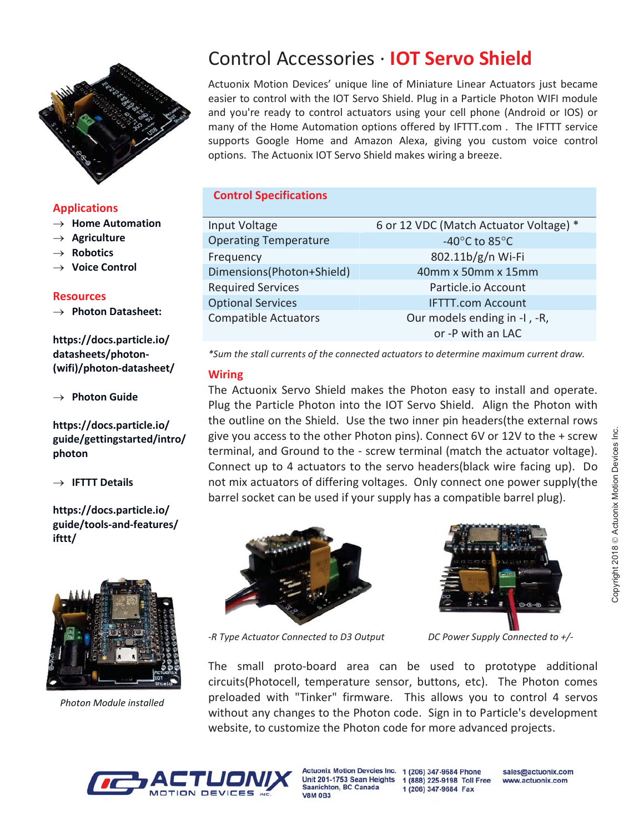

## Applications

- $\rightarrow$  Home Automation
- $\rightarrow$  Agriculture
- **Robotics**
- **Voice Control**

#### **Resources**

 $\rightarrow$  Photon Datasheet:

https://docs.particle.io/ datasheets/photon- (wifi)/photon-datasheet/

 $\rightarrow$  Photon Guide

https://docs.particle.io/ guide/gettingstarted/intro/ photon

 $\rightarrow$  IFTTT Details

https://docs.particle.io/ guide/tools-and-features/ ifttt/



Photon Module installed

# Control Accessories · IOT Servo Shield

Actuonix Motion Devices' unique line of Miniature Linear Actuators just became easier to control with the IOT Servo Shield. Plug in a Particle Photon WIFI module and you're ready to control actuators using your cell phone (Android or IOS) or many of the Home Automation options offered by IFTTT.com . The IFTTT service supports Google Home and Amazon Alexa, giving you custom voice control options. The Actuonix IOT Servo Shield makes wiring a breeze.

## Control Specifications

| Input Voltage                | 6 or 12 VDC (Match Actuator Voltage) * |
|------------------------------|----------------------------------------|
| <b>Operating Temperature</b> | -40 $^{\circ}$ C to 85 $^{\circ}$ C    |
| Frequency                    | 802.11b/g/n Wi-Fi                      |
| Dimensions(Photon+Shield)    | 40mm x 50mm x 15mm                     |
| <b>Required Services</b>     | Particle.io Account                    |
| <b>Optional Services</b>     | <b>IFTTT.com Account</b>               |
| <b>Compatible Actuators</b>  | Our models ending in -I, -R,           |
|                              | or -P with an LAC                      |
|                              |                                        |

\*Sum the stall currents of the connected actuators to determine maximum current draw.

## **Wiring**

The Actuonix Servo Shield makes the Photon easy to install and operate. Plug the Particle Photon into the IOT Servo Shield. Align the Photon with the outline on the Shield. Use the two inner pin headers(the external rows give you access to the other Photon pins). Connect 6V or 12V to the + screw terminal, and Ground to the - screw terminal (match the actuator voltage). Connect up to 4 actuators to the servo headers(black wire facing up). Do not mix actuators of differing voltages. Only connect one power supply(the barrel socket can be used if your supply has a compatible barrel plug).





-R Type Actuator Connected to D3 Output DC Power Supply Connected to +/-

The small proto-board area can be used to prototype additional circuits(Photocell, temperature sensor, buttons, etc). The Photon comes preloaded with "Tinker" firmware. This allows you to control 4 servos without any changes to the Photon code. Sign in to Particle's development website, to customize the Photon code for more advanced projects.



**Actuonix Motion Devcies Inc.** Saanichton, BC Canada **V8M 0B3** 

1 (206) 347-9684 Phone Unit 201-1753 Sean Heights 1 (888) 225-9198 Toll Free 1 (206) 347-9684 Fax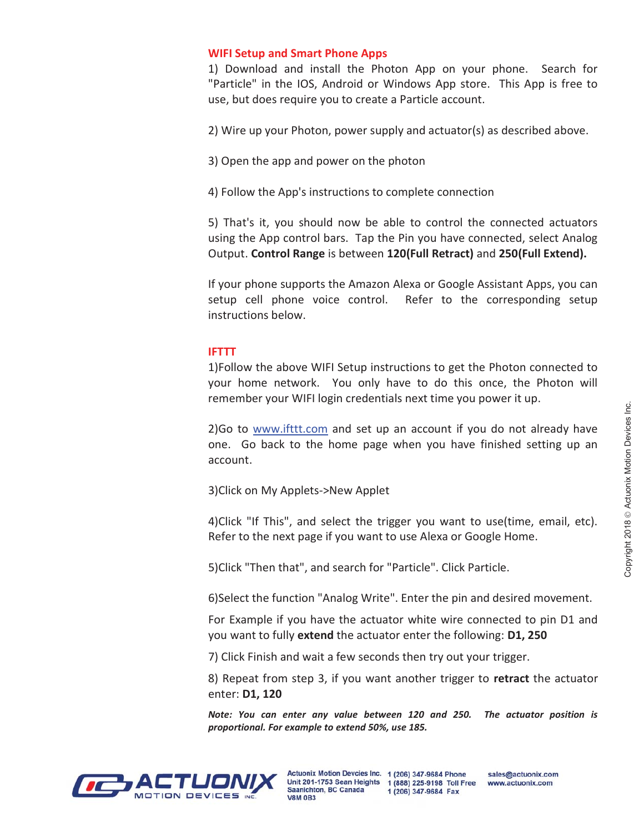## WIFI Setup and Smart Phone Apps

1) Download and install the Photon App on your phone. Search for "Particle" in the IOS, Android or Windows App store. This App is free to use, but does require you to create a Particle account.

2) Wire up your Photon, power supply and actuator(s) as described above.

- 3) Open the app and power on the photon
- 4) Follow the App's instructions to complete connection

5) That's it, you should now be able to control the connected actuators using the App control bars. Tap the Pin you have connected, select Analog Output. Control Range is between 120(Full Retract) and 250(Full Extend).

If your phone supports the Amazon Alexa or Google Assistant Apps, you can setup cell phone voice control. Refer to the corresponding setup instructions below.

## IFTTT

1)Follow the above WIFI Setup instructions to get the Photon connected to your home network. You only have to do this once, the Photon will remember your WIFI login credentials next time you power it up.

2)Go to www.ifttt.com and set up an account if you do not already have one. Go back to the home page when you have finished setting up an account.

3)Click on My Applets->New Applet

4)Click "If This", and select the trigger you want to use(time, email, etc). Refer to the next page if you want to use Alexa or Google Home.

5)Click "Then that", and search for "Particle". Click Particle.

6)Select the function "Analog Write". Enter the pin and desired movement.

For Example if you have the actuator white wire connected to pin D1 and you want to fully extend the actuator enter the following: D1, 250

7) Click Finish and wait a few seconds then try out your trigger.

8) Repeat from step 3, if you want another trigger to retract the actuator enter: D1, 120

Note: You can enter any value between 120 and 250. The actuator position is proportional. For example to extend 50%, use 185.

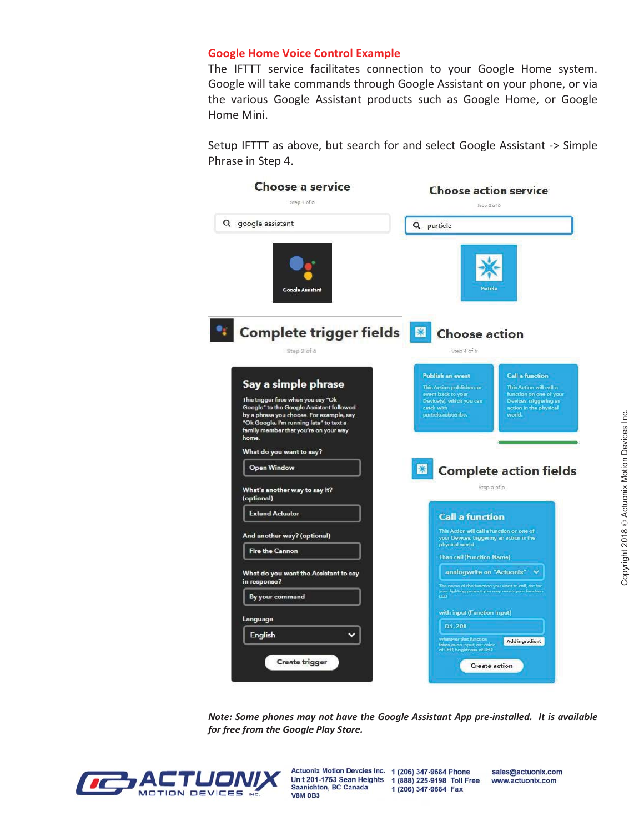#### Google Home Voice Control Example

The IFTTT service facilitates connection to your Google Home system. Google will take commands through Google Assistant on your phone, or via the various Google Assistant products such as Google Home, or Google Home Mini.

Setup IFTTT as above, but search for and select Google Assistant -> Simple Phrase in Step 4.



Note: Some phones may not have the Google Assistant App pre-installed. It is available for free from the Google Play Store.



Unit 201-1753 Sean Heights 1 (888) 225-9198 Toll Free Saanichton, BC Canada **V8M 0B3** 

Actuonix Motion Devcies Inc. 1 (206) 347-9684 Phone 1 (206) 347-9684 Fax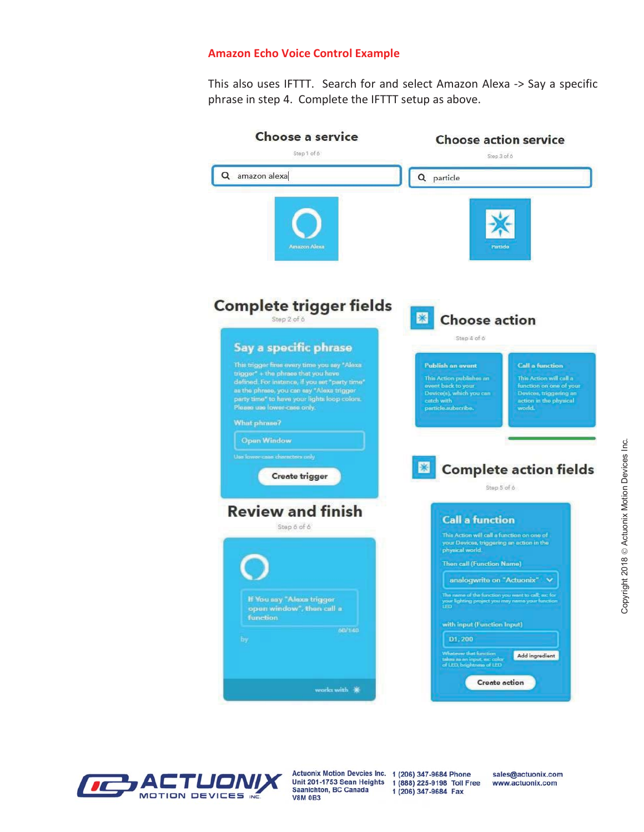#### Amazon Echo Voice Control Example

This also uses IFTTT. Search for and select Amazon Alexa -> Say a specific phrase in step 4. Complete the IFTTT setup as above.





Actuonix Motion Devcies Inc. 1 (206) 347-9684 Phone Unit 201-1753 Sean Heights 1 (888) 225-9198 Toll Free Saanichton, BC Canada **V8M 0B3** 

1 (206) 347-9684 Fax